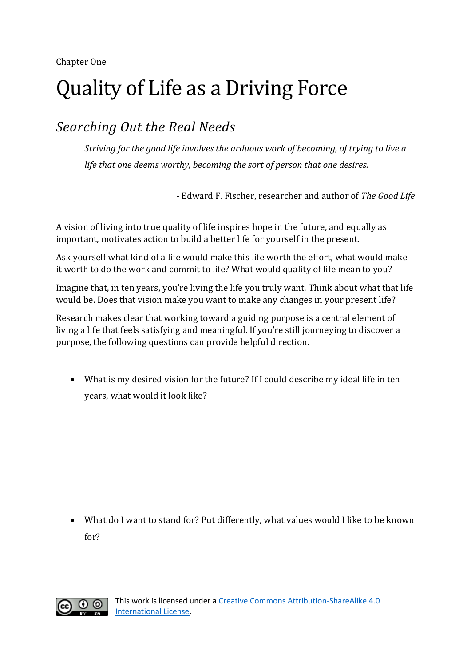## Quality of Life as a Driving Force

## *Searching Out the Real Needs*

*Striving for the good life involves the arduous work of becoming, of trying to live a life that one deems worthy, becoming the sort of person that one desires.*

- Edward F. Fischer, researcher and author of *The Good Life*

A vision of living into true quality of life inspires hope in the future, and equally as important, motivates action to build a better life for yourself in the present.

Ask yourself what kind of a life would make this life worth the effort, what would make it worth to do the work and commit to life? What would quality of life mean to you?

Imagine that, in ten years, you're living the life you truly want. Think about what that life would be. Does that vision make you want to make any changes in your present life?

Research makes clear that working toward a guiding purpose is a central element of living a life that feels satisfying and meaningful. If you're still journeying to discover a purpose, the following questions can provide helpful direction.

• What is my desired vision for the future? If I could describe my ideal life in ten years, what would it look like?

• What do I want to stand for? Put differently, what values would I like to be known for?

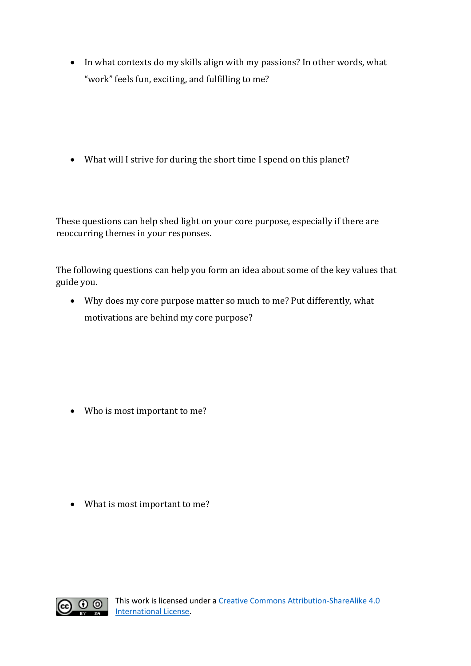• In what contexts do my skills align with my passions? In other words, what "work" feels fun, exciting, and fulfilling to me?

• What will I strive for during the short time I spend on this planet?

These questions can help shed light on your core purpose, especially if there are reoccurring themes in your responses.

The following questions can help you form an idea about some of the key values that guide you.

• Why does my core purpose matter so much to me? Put differently, what motivations are behind my core purpose?

• Who is most important to me?

• What is most important to me?